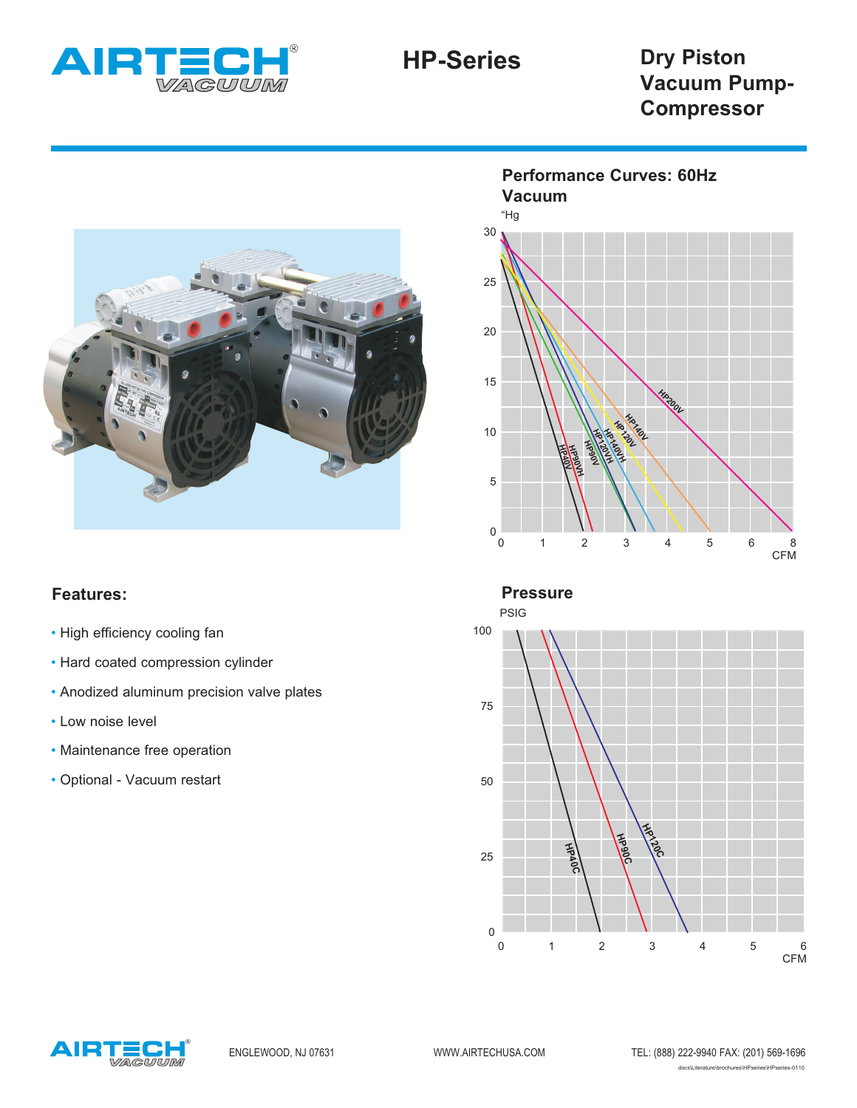



## **Features:**

- High efficiency cooling fan
- Hard coated compression cylinder
- Anodized aluminum precision valve plates
- Low noise level
- Maintenance free operation
- Optional Vacuum restart